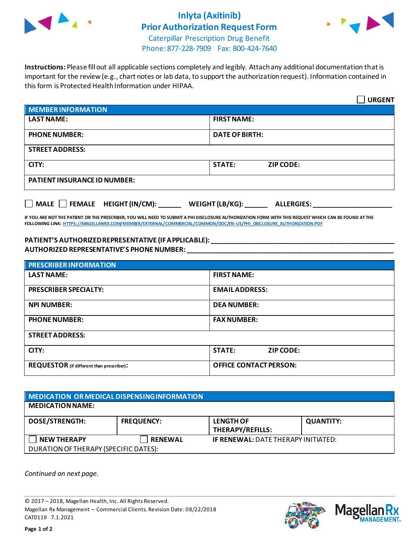

## **Inlyta (Axitinib) Prior Authorization Request Form**



Caterpillar Prescription Drug Benefit Phone: 877-228-7909 Fax: 800-424-7640

**Instructions:** Please fill out all applicable sections completely and legibly. Attach any additional documentation that is important for the review (e.g., chart notes or lab data, to support the authorization request). Information contained in this form is Protected Health Information under HIPAA.

|                                           | <b>URGENT</b>                        |  |  |
|-------------------------------------------|--------------------------------------|--|--|
| <b>MEMBER INFORMATION</b>                 |                                      |  |  |
| <b>LAST NAME:</b>                         | <b>FIRST NAME:</b>                   |  |  |
| <b>PHONE NUMBER:</b>                      | <b>DATE OF BIRTH:</b>                |  |  |
| <b>STREET ADDRESS:</b>                    |                                      |  |  |
| CITY:                                     | <b>STATE:</b><br><b>ZIP CODE:</b>    |  |  |
| <b>PATIENT INSURANCE ID NUMBER:</b>       |                                      |  |  |
| $\Box$ MALE $\Box$ FEMALE HEIGHT (IN/CM): | WEIGHT (LB/KG):<br><b>ALLERGIES:</b> |  |  |

**IF YOU ARE NOT THE PATIENT OR THE PRESCRIBER, YOU WILL NEED TO SUBMIT A PHI DISCLOSURE AUTHORIZATION FORM WITH THIS REQUEST WHICH CAN BE FOUND AT THE FOLLOWING LINK[: HTTPS://MAGELLANRX.COM/MEMBER/EXTERNAL/COMMERCIAL/COMMON/DOC/EN-US/PHI\\_DISCLOSURE\\_AUTHORIZATION.PDF](https://magellanrx.com/member/external/commercial/common/doc/en-us/PHI_Disclosure_Authorization.pdf)**

## **PATIENT'S AUTHORIZED REPRESENTATIVE (IF APPLICABLE): \_\_\_\_\_\_\_\_\_\_\_\_\_\_\_\_\_\_\_\_\_\_\_\_\_\_\_\_\_\_\_\_\_\_\_\_\_\_\_\_\_\_\_\_\_\_\_\_\_ AUTHORIZED REPRESENTATIVE'S PHONE NUMBER: \_\_\_\_\_\_\_\_\_\_\_\_\_\_\_\_\_\_\_\_\_\_\_\_\_\_\_\_\_\_\_\_\_\_\_\_\_\_\_\_\_\_\_\_\_\_\_\_\_\_\_\_\_\_\_**

| <b>PRESCRIBER INFORMATION</b>             |                               |  |  |
|-------------------------------------------|-------------------------------|--|--|
| <b>LAST NAME:</b>                         | <b>FIRST NAME:</b>            |  |  |
| <b>PRESCRIBER SPECIALTY:</b>              | <b>EMAIL ADDRESS:</b>         |  |  |
| <b>NPI NUMBER:</b>                        | <b>DEA NUMBER:</b>            |  |  |
| <b>PHONE NUMBER:</b>                      | <b>FAX NUMBER:</b>            |  |  |
| <b>STREET ADDRESS:</b>                    |                               |  |  |
| CITY:                                     | <b>STATE:</b><br>ZIP CODE:    |  |  |
| REQUESTOR (if different than prescriber): | <b>OFFICE CONTACT PERSON:</b> |  |  |

| MEDICATION OR MEDICAL DISPENSING INFORMATION |                   |                                            |                  |  |  |
|----------------------------------------------|-------------------|--------------------------------------------|------------------|--|--|
| <b>MEDICATION NAME:</b>                      |                   |                                            |                  |  |  |
| <b>DOSE/STRENGTH:</b>                        | <b>FREQUENCY:</b> | <b>LENGTH OF</b><br>THERAPY/REFILLS:       | <b>QUANTITY:</b> |  |  |
| <b>NEW THERAPY</b>                           | <b>RENEWAL</b>    | <b>IF RENEWAL: DATE THERAPY INITIATED:</b> |                  |  |  |
| DURATION OF THERAPY (SPECIFIC DATES):        |                   |                                            |                  |  |  |

*Continued on next page.*

© 2017 – 2018, Magellan Health, Inc. All Rights Reserved. Magellan Rx Management – Commercial Clients. Revision Date: 08/22/2018 CAT0119 7.1.2021